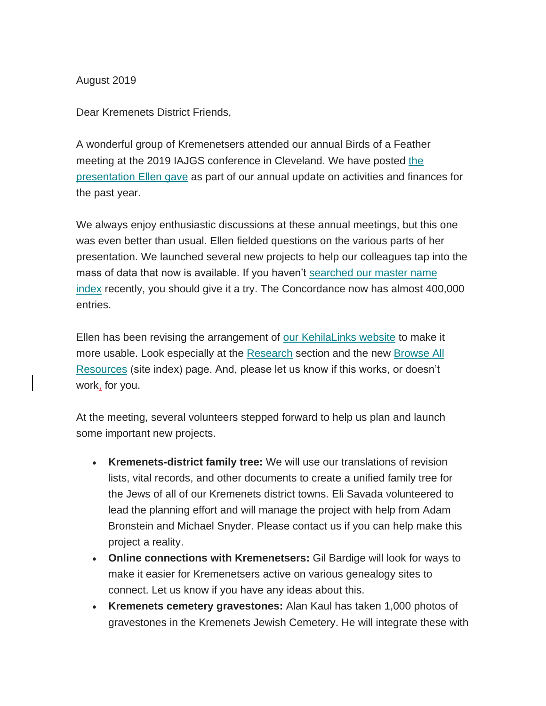August 2019

Dear Kremenets District Friends,

A wonderful group of Kremenetsers attended our annual Birds of a Feather meeting at [the](http://www.kehilalinks.jewishgen.org/Kremenets/web-pages/documents/update%20reports/Presentation-July-2019-KDRG-Annual-Meeting-IAJGS-Cleveland.pdf) 2019 IAJGS conference in Cleveland. We have posted the [presentation Ellen gave](http://www.kehilalinks.jewishgen.org/Kremenets/web-pages/documents/update%20reports/Presentation-July-2019-KDRG-Annual-Meeting-IAJGS-Cleveland.pdf) as part of our annual update on activities and finances for the past year.

We always enjoy enthusiastic discussions at these annual meetings, but this one was even better than usual. Ellen fielded questions on the various parts of her presentation. We launched several new projects to help our colleagues tap into the mass of data that now is available. If you haven't [searched our master name](https://kehilalinks.jewishgen.org/Kremenets/web-pages/database/krem_search_frm.html)  [index](https://kehilalinks.jewishgen.org/Kremenets/web-pages/database/krem_search_frm.html) recently, you should give it a try. The Concordance now has almost 400,000 entries.

Ellen has been revising the arrangement of [our KehilaLinks website](https://kehilalinks.jewishgen.org/Kremenets/) to make it more usable. Look especially at the [Research](https://kehilalinks.jewishgen.org/Kremenets/web-pages/research-projects.html) section and the new [Browse All](https://kehilalinks.jewishgen.org/Kremenets/web-pages/all-resources.html)  [Resources](https://kehilalinks.jewishgen.org/Kremenets/web-pages/all-resources.html) (site index) page. And, please let us know if this works, or doesn't work, for you.

At the meeting, several volunteers stepped forward to help us plan and launch some important new projects.

- **Kremenets-district family tree:** We will use our translations of revision lists, vital records, and other documents to create a unified family tree for the Jews of all of our Kremenets district towns. Eli Savada volunteered to lead the planning effort and will manage the project with help from Adam Bronstein and Michael Snyder. Please contact us if you can help make this project a reality.
- **Online connections with Kremenetsers:** Gil Bardige will look for ways to make it easier for Kremenetsers active on various genealogy sites to connect. Let us know if you have any ideas about this.
- **Kremenets cemetery gravestones:** Alan Kaul has taken 1,000 photos of gravestones in the Kremenets Jewish Cemetery. He will integrate these with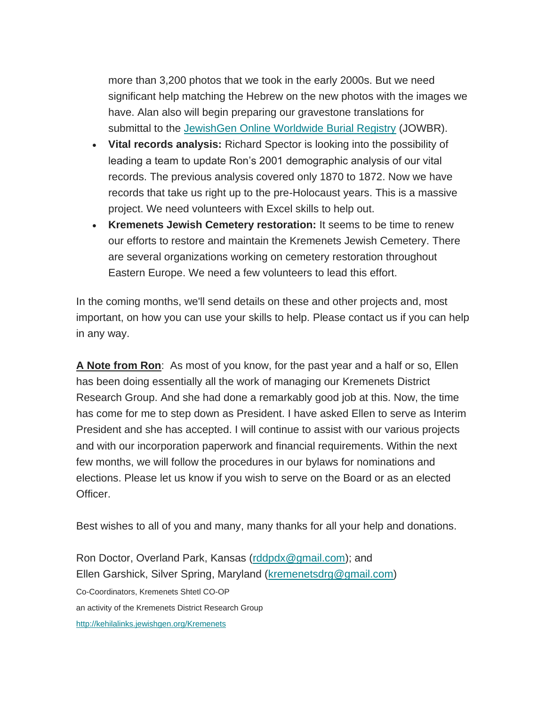more than 3,200 photos that we took in the early 2000s. But we need significant help matching the Hebrew on the new photos with the images we have. Alan also will begin preparing our gravestone translations for submittal to the [JewishGen Online Worldwide Burial Registry](https://www.jewishgen.org/databases/cemetery/) (JOWBR).

- **Vital records analysis:** Richard Spector is looking into the possibility of leading a team to update Ron's 2001 demographic analysis of our vital records. The previous analysis covered only 1870 to 1872. Now we have records that take us right up to the pre-Holocaust years. This is a massive project. We need volunteers with Excel skills to help out.
- **Kremenets Jewish Cemetery restoration:** It seems to be time to renew our efforts to restore and maintain the Kremenets Jewish Cemetery. There are several organizations working on cemetery restoration throughout Eastern Europe. We need a few volunteers to lead this effort.

In the coming months, we'll send details on these and other projects and, most important, on how you can use your skills to help. Please contact us if you can help in any way.

**A Note from Ron**: As most of you know, for the past year and a half or so, Ellen has been doing essentially all the work of managing our Kremenets District Research Group. And she had done a remarkably good job at this. Now, the time has come for me to step down as President. I have asked Ellen to serve as Interim President and she has accepted. I will continue to assist with our various projects and with our incorporation paperwork and financial requirements. Within the next few months, we will follow the procedures in our bylaws for nominations and elections. Please let us know if you wish to serve on the Board or as an elected Officer.

Best wishes to all of you and many, many thanks for all your help and donations.

Ron Doctor, Overland Park, Kansas [\(rddpdx@gmail.com\)](mailto:rddpdx@gmail.com); and Ellen Garshick, Silver Spring, Maryland [\(kremenetsdrg@gmail.com\)](mailto:kremenetsdrg@gmail.com) Co-Coordinators, Kremenets Shtetl CO-OP an activity of the Kremenets District Research Group <http://kehilalinks.jewishgen.org/Kremenets>